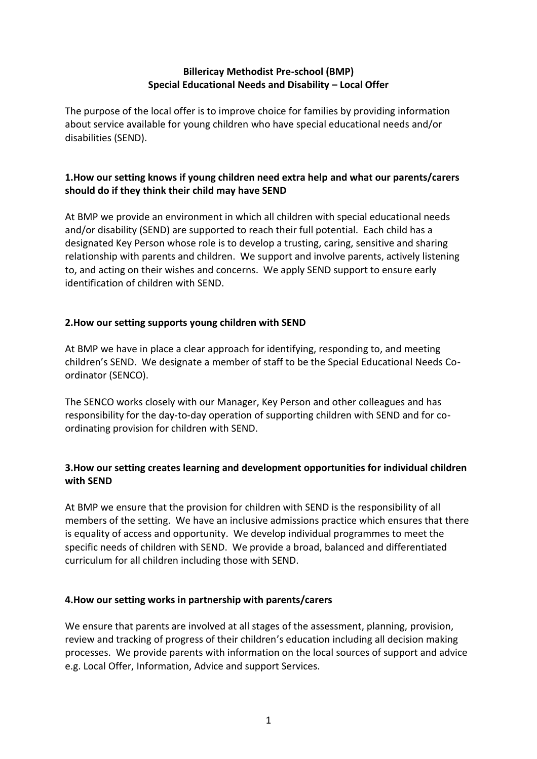# **Billericay Methodist Pre-school (BMP) Special Educational Needs and Disability – Local Offer**

The purpose of the local offer is to improve choice for families by providing information about service available for young children who have special educational needs and/or disabilities (SEND).

# **1.How our setting knows if young children need extra help and what our parents/carers should do if they think their child may have SEND**

At BMP we provide an environment in which all children with special educational needs and/or disability (SEND) are supported to reach their full potential. Each child has a designated Key Person whose role is to develop a trusting, caring, sensitive and sharing relationship with parents and children. We support and involve parents, actively listening to, and acting on their wishes and concerns. We apply SEND support to ensure early identification of children with SEND.

# **2.How our setting supports young children with SEND**

At BMP we have in place a clear approach for identifying, responding to, and meeting children's SEND. We designate a member of staff to be the Special Educational Needs Coordinator (SENCO).

The SENCO works closely with our Manager, Key Person and other colleagues and has responsibility for the day-to-day operation of supporting children with SEND and for coordinating provision for children with SEND.

# **3.How our setting creates learning and development opportunities for individual children with SEND**

At BMP we ensure that the provision for children with SEND is the responsibility of all members of the setting. We have an inclusive admissions practice which ensures that there is equality of access and opportunity. We develop individual programmes to meet the specific needs of children with SEND. We provide a broad, balanced and differentiated curriculum for all children including those with SEND.

# **4.How our setting works in partnership with parents/carers**

We ensure that parents are involved at all stages of the assessment, planning, provision, review and tracking of progress of their children's education including all decision making processes. We provide parents with information on the local sources of support and advice e.g. Local Offer, Information, Advice and support Services.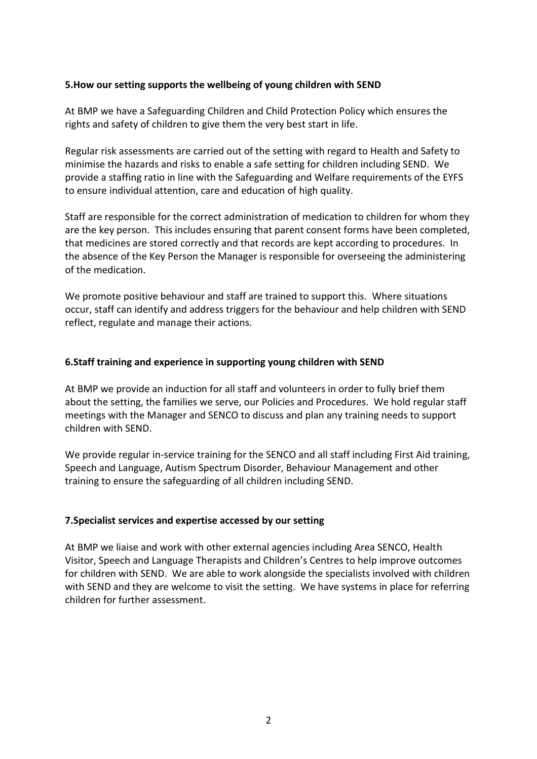#### **5.How our setting supports the wellbeing of young children with SEND**

At BMP we have a Safeguarding Children and Child Protection Policy which ensures the rights and safety of children to give them the very best start in life.

Regular risk assessments are carried out of the setting with regard to Health and Safety to minimise the hazards and risks to enable a safe setting for children including SEND. We provide a staffing ratio in line with the Safeguarding and Welfare requirements of the EYFS to ensure individual attention, care and education of high quality.

Staff are responsible for the correct administration of medication to children for whom they are the key person. This includes ensuring that parent consent forms have been completed, that medicines are stored correctly and that records are kept according to procedures. In the absence of the Key Person the Manager is responsible for overseeing the administering of the medication.

We promote positive behaviour and staff are trained to support this. Where situations occur, staff can identify and address triggers for the behaviour and help children with SEND reflect, regulate and manage their actions.

#### **6.Staff training and experience in supporting young children with SEND**

At BMP we provide an induction for all staff and volunteers in order to fully brief them about the setting, the families we serve, our Policies and Procedures. We hold regular staff meetings with the Manager and SENCO to discuss and plan any training needs to support children with SEND.

We provide regular in-service training for the SENCO and all staff including First Aid training, Speech and Language, Autism Spectrum Disorder, Behaviour Management and other training to ensure the safeguarding of all children including SEND.

### **7.Specialist services and expertise accessed by our setting**

At BMP we liaise and work with other external agencies including Area SENCO, Health Visitor, Speech and Language Therapists and Children's Centres to help improve outcomes for children with SEND. We are able to work alongside the specialists involved with children with SEND and they are welcome to visit the setting. We have systems in place for referring children for further assessment.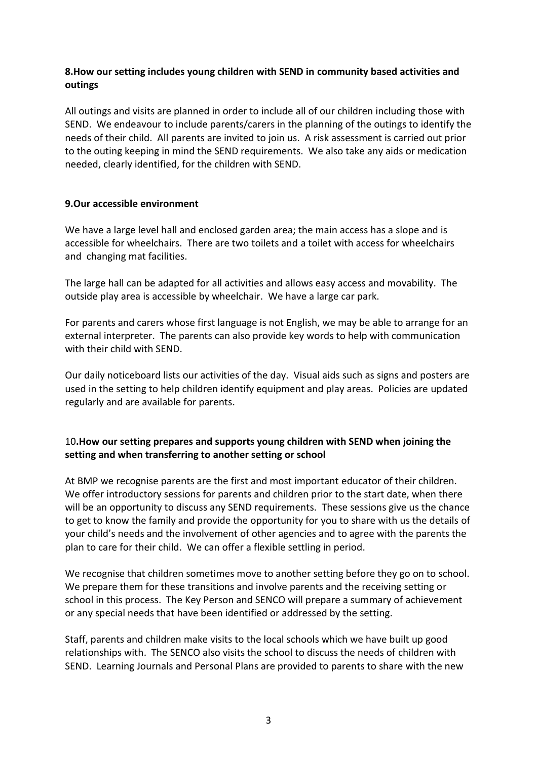# **8.How our setting includes young children with SEND in community based activities and outings**

All outings and visits are planned in order to include all of our children including those with SEND. We endeavour to include parents/carers in the planning of the outings to identify the needs of their child. All parents are invited to join us. A risk assessment is carried out prior to the outing keeping in mind the SEND requirements. We also take any aids or medication needed, clearly identified, for the children with SEND.

### **9.Our accessible environment**

We have a large level hall and enclosed garden area; the main access has a slope and is accessible for wheelchairs. There are two toilets and a toilet with access for wheelchairs and changing mat facilities.

The large hall can be adapted for all activities and allows easy access and movability. The outside play area is accessible by wheelchair. We have a large car park.

For parents and carers whose first language is not English, we may be able to arrange for an external interpreter. The parents can also provide key words to help with communication with their child with SEND.

Our daily noticeboard lists our activities of the day. Visual aids such as signs and posters are used in the setting to help children identify equipment and play areas. Policies are updated regularly and are available for parents.

# 10**.How our setting prepares and supports young children with SEND when joining the setting and when transferring to another setting or school**

At BMP we recognise parents are the first and most important educator of their children. We offer introductory sessions for parents and children prior to the start date, when there will be an opportunity to discuss any SEND requirements. These sessions give us the chance to get to know the family and provide the opportunity for you to share with us the details of your child's needs and the involvement of other agencies and to agree with the parents the plan to care for their child. We can offer a flexible settling in period.

We recognise that children sometimes move to another setting before they go on to school. We prepare them for these transitions and involve parents and the receiving setting or school in this process. The Key Person and SENCO will prepare a summary of achievement or any special needs that have been identified or addressed by the setting.

Staff, parents and children make visits to the local schools which we have built up good relationships with. The SENCO also visits the school to discuss the needs of children with SEND. Learning Journals and Personal Plans are provided to parents to share with the new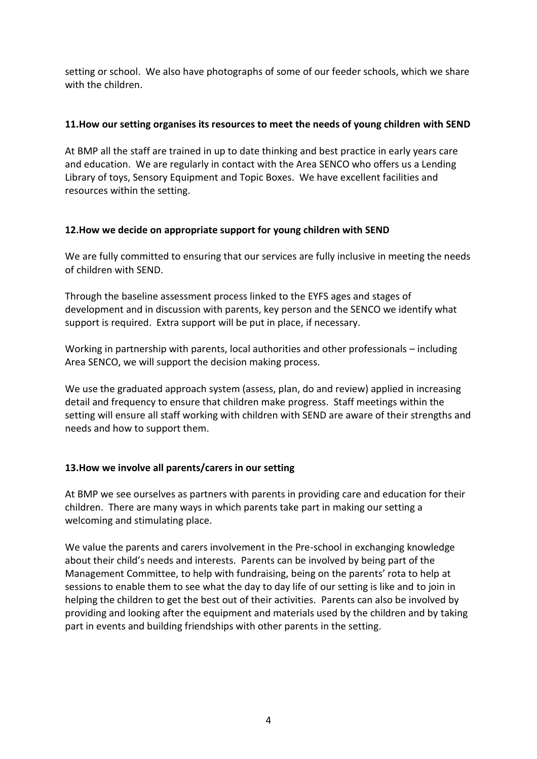setting or school. We also have photographs of some of our feeder schools, which we share with the children.

#### **11.How our setting organises its resources to meet the needs of young children with SEND**

At BMP all the staff are trained in up to date thinking and best practice in early years care and education. We are regularly in contact with the Area SENCO who offers us a Lending Library of toys, Sensory Equipment and Topic Boxes. We have excellent facilities and resources within the setting.

### **12.How we decide on appropriate support for young children with SEND**

We are fully committed to ensuring that our services are fully inclusive in meeting the needs of children with SEND.

Through the baseline assessment process linked to the EYFS ages and stages of development and in discussion with parents, key person and the SENCO we identify what support is required. Extra support will be put in place, if necessary.

Working in partnership with parents, local authorities and other professionals – including Area SENCO, we will support the decision making process.

We use the graduated approach system (assess, plan, do and review) applied in increasing detail and frequency to ensure that children make progress. Staff meetings within the setting will ensure all staff working with children with SEND are aware of their strengths and needs and how to support them.

### **13.How we involve all parents/carers in our setting**

At BMP we see ourselves as partners with parents in providing care and education for their children. There are many ways in which parents take part in making our setting a welcoming and stimulating place.

We value the parents and carers involvement in the Pre-school in exchanging knowledge about their child's needs and interests. Parents can be involved by being part of the Management Committee, to help with fundraising, being on the parents' rota to help at sessions to enable them to see what the day to day life of our setting is like and to join in helping the children to get the best out of their activities. Parents can also be involved by providing and looking after the equipment and materials used by the children and by taking part in events and building friendships with other parents in the setting.